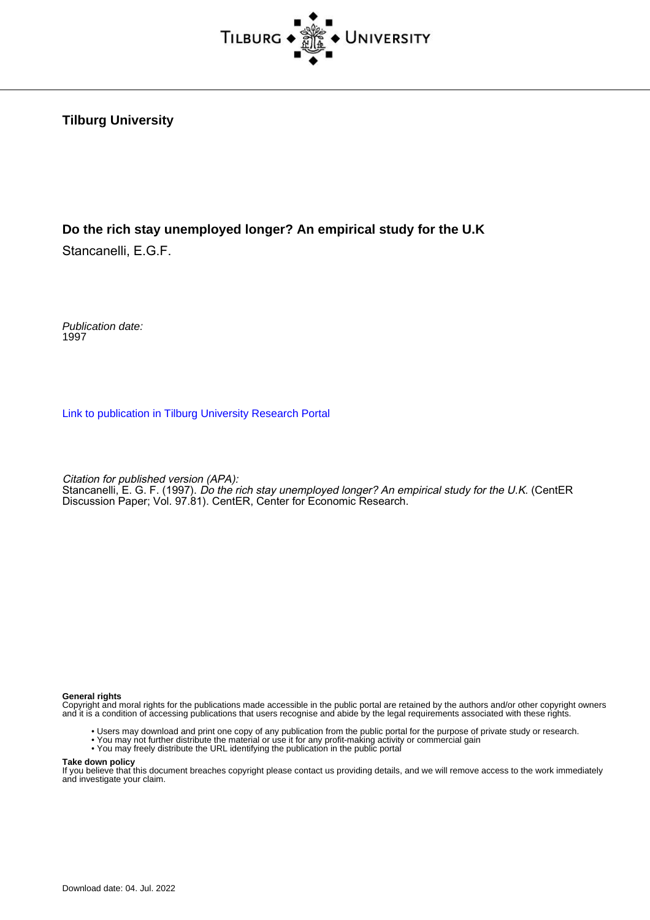

**Tilburg University**

#### **Do the rich stay unemployed longer? An empirical study for the U.K**

Stancanelli, E.G.F.

Publication date: 1997

[Link to publication in Tilburg University Research Portal](https://research.tilburguniversity.edu/en/publications/7d49af89-0cc0-418e-85c7-7c91c7fc7275)

Citation for published version (APA):

Stancanelli, E. G. F. (1997). Do the rich stay unemployed longer? An empirical study for the U.K. (CentER Discussion Paper; Vol. 97.81). CentER, Center for Economic Research.

#### **General rights**

Copyright and moral rights for the publications made accessible in the public portal are retained by the authors and/or other copyright owners and it is a condition of accessing publications that users recognise and abide by the legal requirements associated with these rights.

- Users may download and print one copy of any publication from the public portal for the purpose of private study or research.
- You may not further distribute the material or use it for any profit-making activity or commercial gain
- You may freely distribute the URL identifying the publication in the public portal

#### **Take down policy**

If you believe that this document breaches copyright please contact us providing details, and we will remove access to the work immediately and investigate your claim.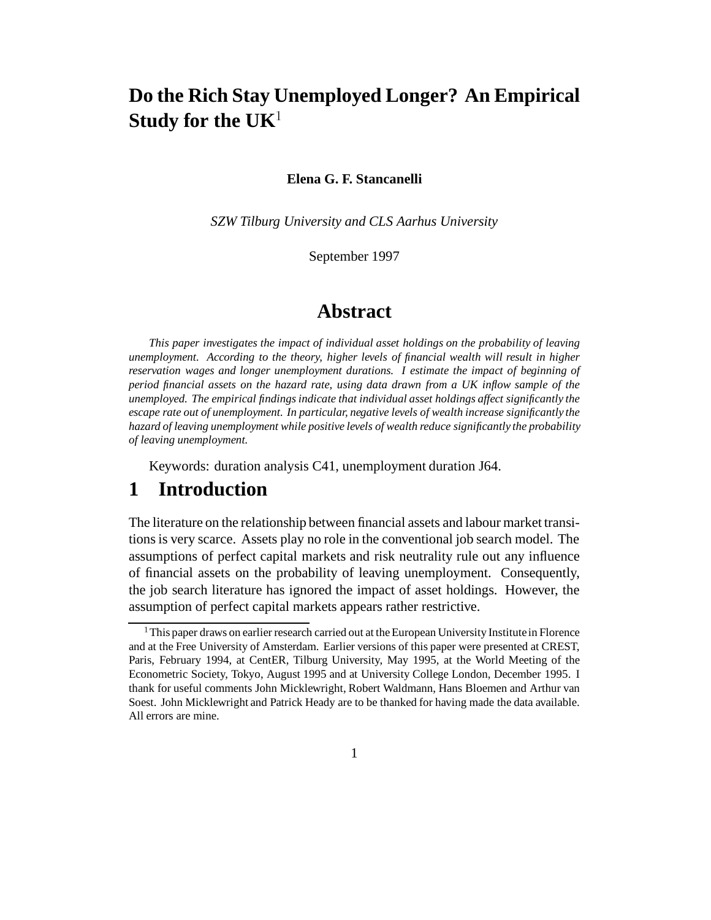# **Do the Rich Stay Unemployed Longer? An Empirical Study for the UK**<sup>1</sup>

#### **Elena G. F. Stancanelli**

*SZW Tilburg University and CLS Aarhus University*

September 1997

#### **Abstract**

*This paper investigates the impact of individual asset holdings on the probability of leaving unemployment. According to the theory, higher levels of financial wealth will result in higher reservation wages and longer unemployment durations. I estimate the impact of beginning of period financial assets on the hazard rate, using data drawn from a UK inflow sample of the unemployed. The empirical findings indicate that individual asset holdings affect significantly the escape rate out of unemployment. In particular, negative levels of wealth increase significantly the hazard of leaving unemployment while positive levels of wealth reduce significantly the probability of leaving unemployment.*

Keywords: duration analysis C41, unemployment duration J64.

### **1 Introduction**

The literature on the relationship between financial assets and labour market transitions is very scarce. Assets play no role in the conventional job search model. The assumptions of perfect capital markets and risk neutrality rule out any influence of financial assets on the probability of leaving unemployment. Consequently, the job search literature has ignored the impact of asset holdings. However, the assumption of perfect capital markets appears rather restrictive.

<sup>&</sup>lt;sup>1</sup>This paper draws on earlier research carried out at the European University Institute in Florence and at the Free University of Amsterdam. Earlier versions of this paper were presented at CREST, Paris, February 1994, at CentER, Tilburg University, May 1995, at the World Meeting of the Econometric Society, Tokyo, August 1995 and at University College London, December 1995. I thank for useful comments John Micklewright, Robert Waldmann, Hans Bloemen and Arthur van Soest. John Micklewright and Patrick Heady are to be thanked for having made the data available. All errors are mine.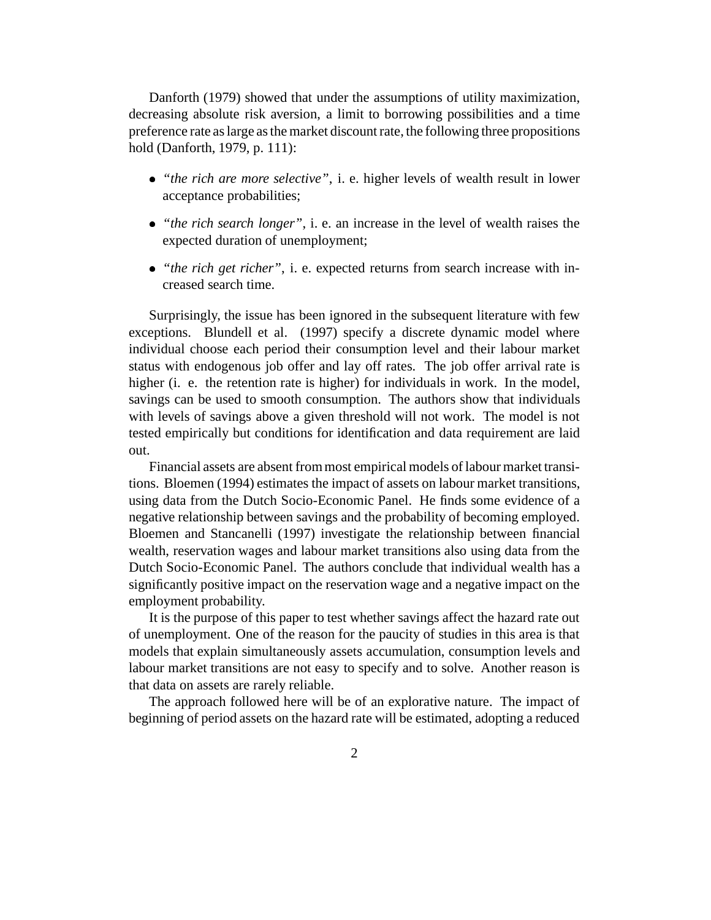Danforth (1979) showed that under the assumptions of utility maximization, decreasing absolute risk aversion, a limit to borrowing possibilities and a time preference rate as large as the market discount rate, the following three propositions hold (Danforth, 1979, p. 111):

- *"the rich are more selective"*, i. e. higher levels of wealth result in lower acceptance probabilities;
- *"the rich search longer"*, i. e. an increase in the level of wealth raises the expected duration of unemployment;
- *"the rich get richer"*, i. e. expected returns from search increase with increased search time.

Surprisingly, the issue has been ignored in the subsequent literature with few exceptions. Blundell et al. (1997) specify a discrete dynamic model where individual choose each period their consumption level and their labour market status with endogenous job offer and lay off rates. The job offer arrival rate is higher (i. e. the retention rate is higher) for individuals in work. In the model, savings can be used to smooth consumption. The authors show that individuals with levels of savings above a given threshold will not work. The model is not tested empirically but conditions for identification and data requirement are laid out.

Financial assets are absent from most empirical models of labour market transitions. Bloemen (1994) estimates the impact of assets on labour market transitions, using data from the Dutch Socio-Economic Panel. He finds some evidence of a negative relationship between savings and the probability of becoming employed. Bloemen and Stancanelli (1997) investigate the relationship between financial wealth, reservation wages and labour market transitions also using data from the Dutch Socio-Economic Panel. The authors conclude that individual wealth has a significantly positive impact on the reservation wage and a negative impact on the employment probability.

It is the purpose of this paper to test whether savings affect the hazard rate out of unemployment. One of the reason for the paucity of studies in this area is that models that explain simultaneously assets accumulation, consumption levels and labour market transitions are not easy to specify and to solve. Another reason is that data on assets are rarely reliable.

The approach followed here will be of an explorative nature. The impact of beginning of period assets on the hazard rate will be estimated, adopting a reduced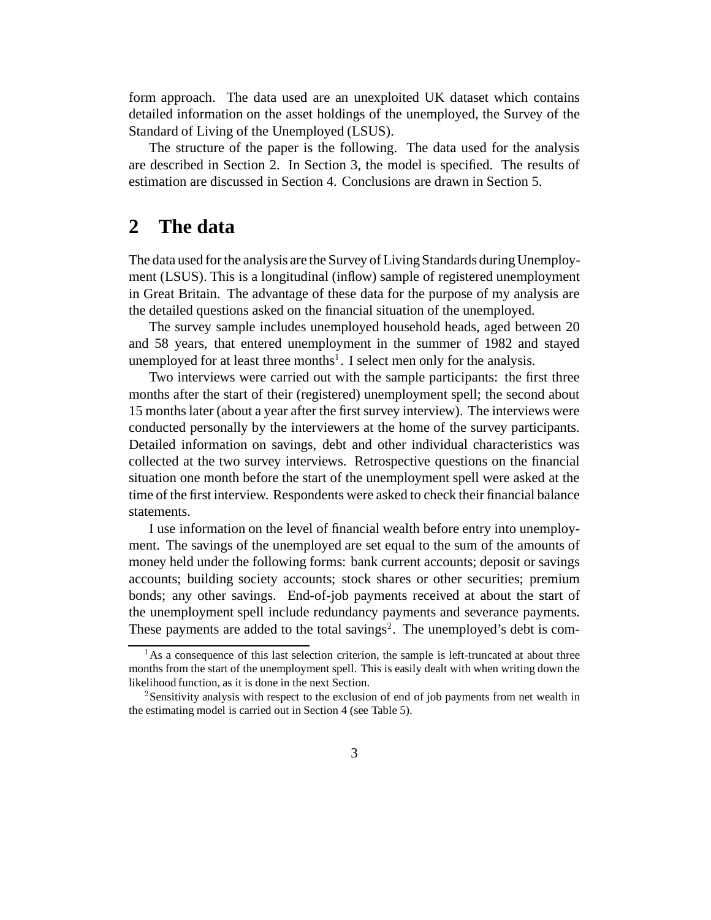form approach. The data used are an unexploited UK dataset which contains detailed information on the asset holdings of the unemployed, the Survey of the Standard of Living of the Unemployed (LSUS).

The structure of the paper is the following. The data used for the analysis are described in Section 2. In Section 3, the model is specified. The results of estimation are discussed in Section 4. Conclusions are drawn in Section 5.

# **2 The data**

The data used for the analysis are the Survey of Living Standards during Unemployment (LSUS). This is a longitudinal (inflow) sample of registered unemployment in Great Britain. The advantage of these data for the purpose of my analysis are the detailed questions asked on the financial situation of the unemployed.

The survey sample includes unemployed household heads, aged between 20 and 58 years, that entered unemployment in the summer of 1982 and stayed unemployed for at least three months<sup>1</sup>. I select men only for the analysis.

Two interviews were carried out with the sample participants: the first three months after the start of their (registered) unemployment spell; the second about 15 months later (about a year after the first survey interview). The interviews were conducted personally by the interviewers at the home of the survey participants. Detailed information on savings, debt and other individual characteristics was collected at the two survey interviews. Retrospective questions on the financial situation one month before the start of the unemployment spell were asked at the time of the first interview. Respondents were asked to check their financial balance statements.

I use information on the level of financial wealth before entry into unemployment. The savings of the unemployed are set equal to the sum of the amounts of money held under the following forms: bank current accounts; deposit or savings accounts; building society accounts; stock shares or other securities; premium bonds; any other savings. End-of-job payments received at about the start of the unemployment spell include redundancy payments and severance payments. These payments are added to the total savings<sup>2</sup>. The unemployed's debt is com-

<sup>&</sup>lt;sup>1</sup>As a consequence of this last selection criterion, the sample is left-truncated at about three months from the start of the unemployment spell. This is easily dealt with when writing down the likelihood function, as it is done in the next Section.

<sup>&</sup>lt;sup>2</sup> Sensitivity analysis with respect to the exclusion of end of job payments from net wealth in the estimating model is carried out in Section 4 (see Table 5).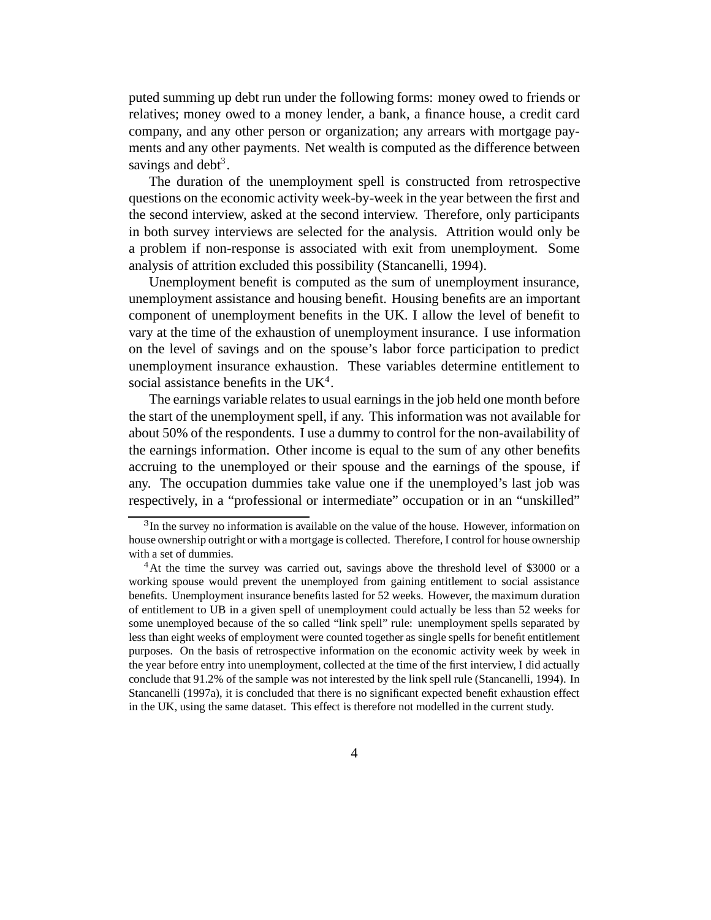puted summing up debt run under the following forms: money owed to friends or relatives; money owed to a money lender, a bank, a finance house, a credit card company, and any other person or organization; any arrears with mortgage payments and any other payments. Net wealth is computed as the difference between savings and debt<sup>3</sup>.

The duration of the unemployment spell is constructed from retrospective questions on the economic activity week-by-week in the year between the first and the second interview, asked at the second interview. Therefore, only participants in both survey interviews are selected for the analysis. Attrition would only be a problem if non-response is associated with exit from unemployment. Some analysis of attrition excluded this possibility (Stancanelli, 1994).

Unemployment benefit is computed as the sum of unemployment insurance, unemployment assistance and housing benefit. Housing benefits are an important component of unemployment benefits in the UK. I allow the level of benefit to vary at the time of the exhaustion of unemployment insurance. I use information on the level of savings and on the spouse's labor force participation to predict unemployment insurance exhaustion. These variables determine entitlement to social assistance benefits in the  $UK<sup>4</sup>$ .

The earnings variable relates to usual earnings in the job held one month before the start of the unemployment spell, if any. This information was not available for about 50% of the respondents. I use a dummy to control for the non-availability of the earnings information. Other income is equal to the sum of any other benefits accruing to the unemployed or their spouse and the earnings of the spouse, if any. The occupation dummies take value one if the unemployed's last job was respectively, in a "professional or intermediate" occupation or in an "unskilled"

<sup>&</sup>lt;sup>3</sup>In the survey no information is available on the value of the house. However, information on house ownership outright or with a mortgage is collected. Therefore, I control for house ownership with a set of dummies.

<sup>&</sup>lt;sup>4</sup>At the time the survey was carried out, savings above the threshold level of \$3000 or a working spouse would prevent the unemployed from gaining entitlement to social assistance benefits. Unemployment insurance benefits lasted for 52 weeks. However, the maximum duration of entitlement to UB in a given spell of unemployment could actually be less than 52 weeks for some unemployed because of the so called "link spell" rule: unemployment spells separated by less than eight weeks of employment were counted together as single spells for benefit entitlement purposes. On the basis of retrospective information on the economic activity week by week in the year before entry into unemployment, collected at the time of the first interview, I did actually conclude that 91.2% of the sample was not interested by the link spell rule (Stancanelli, 1994). In Stancanelli (1997a), it is concluded that there is no significant expected benefit exhaustion effect in the UK, using the same dataset. This effect is therefore not modelled in the current study.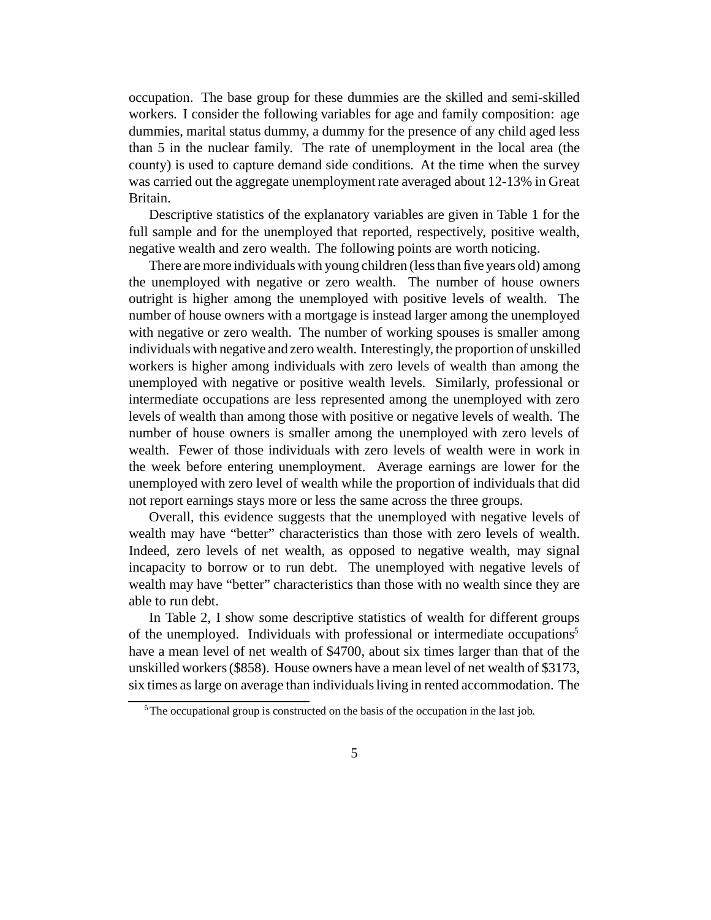occupation. The base group for these dummies are the skilled and semi-skilled workers. I consider the following variables for age and family composition: age dummies, marital status dummy, a dummy for the presence of any child aged less than 5 in the nuclear family. The rate of unemployment in the local area (the county) is used to capture demand side conditions. At the time when the survey was carried out the aggregate unemployment rate averaged about 12-13% in Great Britain.

Descriptive statistics of the explanatory variables are given in Table 1 for the full sample and for the unemployed that reported, respectively, positive wealth, negative wealth and zero wealth. The following points are worth noticing.

There are more individuals with young children (less than five years old) among the unemployed with negative or zero wealth. The number of house owners outright is higher among the unemployed with positive levels of wealth. The number of house owners with a mortgage is instead larger among the unemployed with negative or zero wealth. The number of working spouses is smaller among individuals with negative and zero wealth. Interestingly, the proportion of unskilled workers is higher among individuals with zero levels of wealth than among the unemployed with negative or positive wealth levels. Similarly, professional or intermediate occupations are less represented among the unemployed with zero levels of wealth than among those with positive or negative levels of wealth. The number of house owners is smaller among the unemployed with zero levels of wealth. Fewer of those individuals with zero levels of wealth were in work in the week before entering unemployment. Average earnings are lower for the unemployed with zero level of wealth while the proportion of individuals that did not report earnings stays more or less the same across the three groups.

Overall, this evidence suggests that the unemployed with negative levels of wealth may have "better" characteristics than those with zero levels of wealth. Indeed, zero levels of net wealth, as opposed to negative wealth, may signal incapacity to borrow or to run debt. The unemployed with negative levels of wealth may have "better" characteristics than those with no wealth since they are able to run debt.

In Table 2, I show some descriptive statistics of wealth for different groups of the unemployed. Individuals with professional or intermediate occupations<sup>5</sup> have a mean level of net wealth of \$4700, about six times larger than that of the unskilled workers (\$858). House owners have a mean level of net wealth of \$3173, six times as large on average than individuals living in rented accommodation. The

<sup>&</sup>lt;sup>5</sup>The occupational group is constructed on the basis of the occupation in the last job.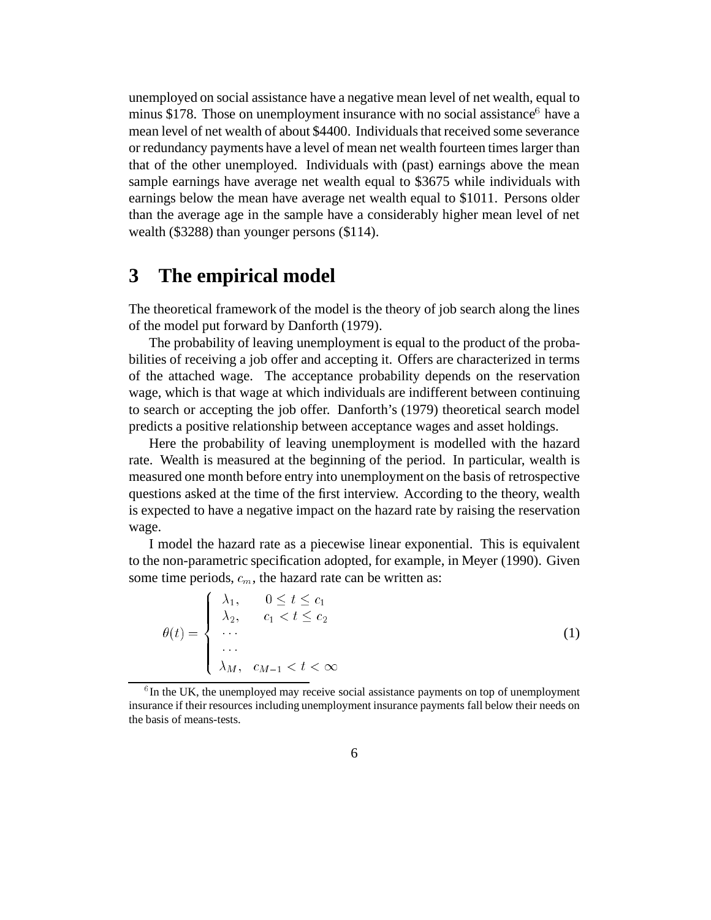unemployed on social assistance have a negative mean level of net wealth, equal to minus \$178. Those on unemployment insurance with no social assistance<sup>6</sup> have a mean level of net wealth of about \$4400. Individuals that received some severance or redundancy payments have a level of mean net wealth fourteen times larger than that of the other unemployed. Individuals with (past) earnings above the mean sample earnings have average net wealth equal to \$3675 while individuals with earnings below the mean have average net wealth equal to \$1011. Persons older than the average age in the sample have a considerably higher mean level of net wealth (\$3288) than younger persons (\$114).

# **3 The empirical model**

the contract of the contract of the contract of the contract of the contract of the contract of the contract of

The theoretical framework of the model is the theory of job search along the lines of the model put forward by Danforth (1979).

The probability of leaving unemployment is equal to the product of the probabilities of receiving a job offer and accepting it. Offers are characterized in terms of the attached wage. The acceptance probability depends on the reservation wage, which is that wage at which individuals are indifferent between continuing to search or accepting the job offer. Danforth's (1979) theoretical search model predicts a positive relationship between acceptance wages and asset holdings.

Here the probability of leaving unemployment is modelled with the hazard rate. Wealth is measured at the beginning of the period. In particular, wealth is measured one month before entry into unemployment on the basis of retrospective questions asked at the time of the first interview. According to the theory, wealth is expected to have a negative impact on the hazard rate by raising the reservation wage.

I model the hazard rate as a piecewise linear exponential. This is equivalent to the non-parametric specification adopted, for example, in Meyer (1990). Given some time periods,  $c_m$ , the hazard rate can be written as:

$$
\theta(t) = \begin{cases}\n\lambda_1, & 0 \le t \le c_1 \\
\lambda_2, & c_1 < t \le c_2 \\
\vdots \\
\lambda_M, & c_{M-1} < t < \infty\n\end{cases}
$$
\n(1)

 $6$ In the UK, the unemployed may receive social assistance payments on top of unemployment insurance if their resources including unemployment insurance payments fall below their needs on the basis of means-tests.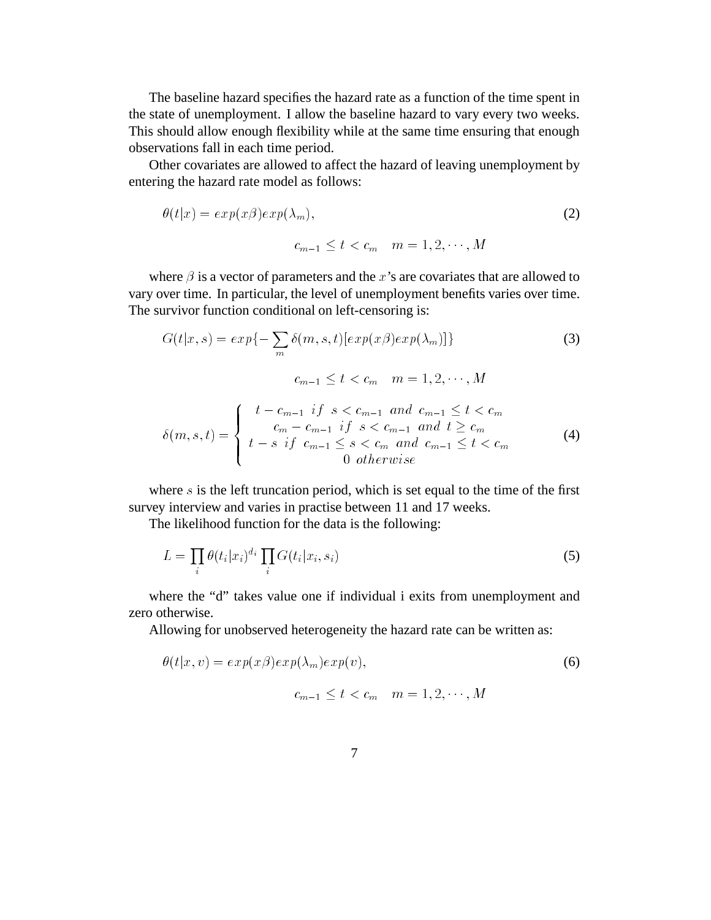The baseline hazard specifies the hazard rate as a function of the time spent in the state of unemployment. I allow the baseline hazard to vary every two weeks. This should allow enough flexibility while at the same time ensuring that enough observations fall in each time period.

Other covariates are allowed to affect the hazard of leaving unemployment by entering the hazard rate model as follows:

$$
\theta(t|x) = exp(x\beta)exp(\lambda_m),
$$
\n(2)

 $c_{m-1} \leq t < c_m$   $m = 1, 2, \cdots, M$ 

where  $\beta$  is a vector of parameters and the x's are covariates that are allowed to vary over time. In particular, the level of unemployment benefits varies over time. The survivor function conditional on left-censoring is:

$$
G(t|x,s) = exp\{-\sum_{m} \delta(m,s,t)[exp(x\beta)exp(\lambda_m)]\}
$$
\n
$$
c_{m-1} \le t < c_m \quad m = 1,2,\cdots,M
$$
\n(3)

$$
\delta(m, s, t) = \begin{cases}\n t - c_{m-1} & \text{if } s < c_{m-1} \text{ and } c_{m-1} \leq t < c_m \\
 c_m - c_{m-1} & \text{if } s < c_{m-1} \text{ and } t \geq c_m \\
 t - s & \text{if } c_{m-1} \leq s < c_m \text{ and } c_{m-1} \leq t < c_m \\
 0 & \text{otherwise}\n\end{cases} \tag{4}
$$

where  $s$  is the left truncation period, which is set equal to the time of the first survey interview and varies in practise between 11 and 17 weeks.

The likelihood function for the data is the following:

$$
L = \prod_{i} \theta(t_i | x_i)^{d_i} \prod_{i} G(t_i | x_i, s_i)
$$
\n
$$
(5)
$$

where the "d" takes value one if individual i exits from unemployment and zero otherwise.

Allowing for unobserved heterogeneity the hazard rate can be written as:

$$
\theta(t|x,v) = exp(x\beta)exp(\lambda_m)exp(v),
$$
\n
$$
c_{m-1} \le t < c_m \quad m = 1, 2, \cdots, M
$$
\n(6)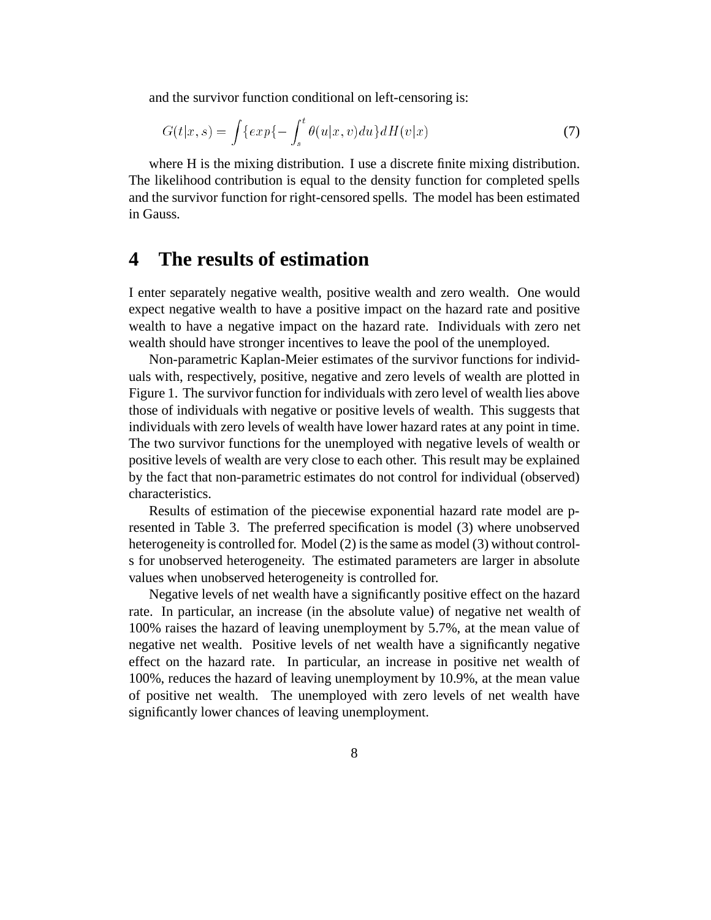and the survivor function conditional on left-censoring is:

$$
G(t|x,s) = \int \{ \exp\{-\int_s^t \theta(u|x,v)du\} dH(v|x)
$$
\n(7)

where H is the mixing distribution. I use a discrete finite mixing distribution. The likelihood contribution is equal to the density function for completed spells and the survivor function for right-censored spells. The model has been estimated in Gauss.

## **4 The results of estimation**

I enter separately negative wealth, positive wealth and zero wealth. One would expect negative wealth to have a positive impact on the hazard rate and positive wealth to have a negative impact on the hazard rate. Individuals with zero net wealth should have stronger incentives to leave the pool of the unemployed.

Non-parametric Kaplan-Meier estimates of the survivor functions for individuals with, respectively, positive, negative and zero levels of wealth are plotted in Figure 1. The survivor function for individuals with zero level of wealth lies above those of individuals with negative or positive levels of wealth. This suggests that individuals with zero levels of wealth have lower hazard rates at any point in time. The two survivor functions for the unemployed with negative levels of wealth or positive levels of wealth are very close to each other. This result may be explained by the fact that non-parametric estimates do not control for individual (observed) characteristics.

Results of estimation of the piecewise exponential hazard rate model are presented in Table 3. The preferred specification is model (3) where unobserved heterogeneity is controlled for. Model (2) is the same as model (3) without controls for unobserved heterogeneity. The estimated parameters are larger in absolute values when unobserved heterogeneity is controlled for.

Negative levels of net wealth have a significantly positive effect on the hazard rate. In particular, an increase (in the absolute value) of negative net wealth of 100% raises the hazard of leaving unemployment by 5.7%, at the mean value of negative net wealth. Positive levels of net wealth have a significantly negative effect on the hazard rate. In particular, an increase in positive net wealth of 100%, reduces the hazard of leaving unemployment by 10.9%, at the mean value of positive net wealth. The unemployed with zero levels of net wealth have significantly lower chances of leaving unemployment.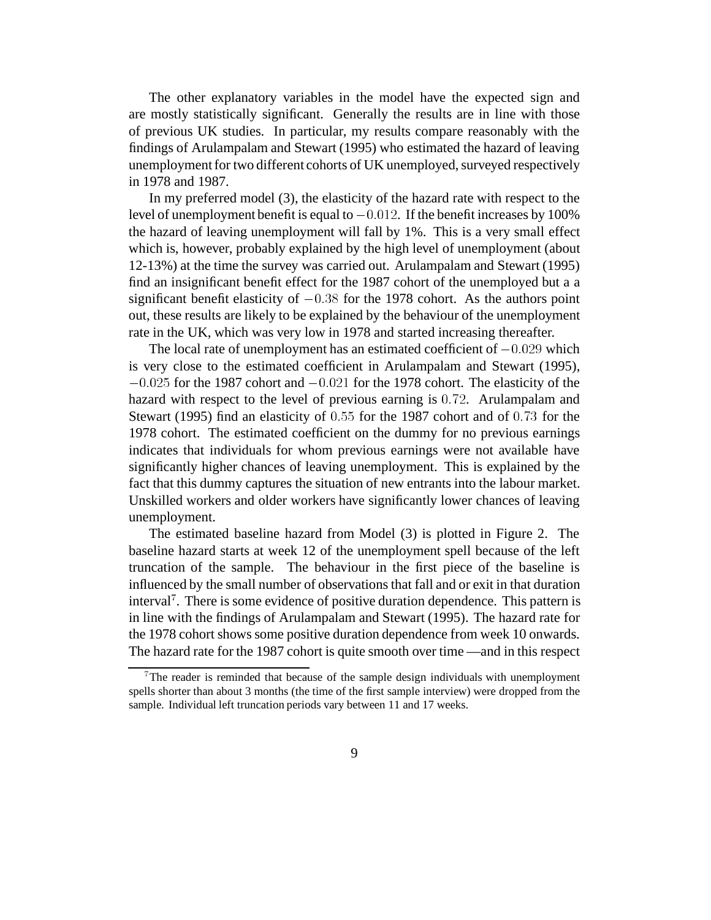The other explanatory variables in the model have the expected sign and are mostly statistically significant. Generally the results are in line with those of previous UK studies. In particular, my results compare reasonably with the findings of Arulampalam and Stewart (1995) who estimated the hazard of leaving unemployment for two different cohorts of UK unemployed, surveyed respectively in 1978 and 1987.

In my preferred model (3), the elasticity of the hazard rate with respect to the level of unemployment benefit is equal to  $-0.012$ . If the benefit increases by 100% the hazard of leaving unemployment will fall by 1%. This is a very small effect which is, however, probably explained by the high level of unemployment (about 12-13%) at the time the survey was carried out. Arulampalam and Stewart (1995) find an insignificant benefit effect for the 1987 cohort of the unemployed but a a significant benefit elasticity of  $-0.38$  for the 1978 cohort. As the authors point out, these results are likely to be explained by the behaviour of the unemployment rate in the UK, which was very low in 1978 and started increasing thereafter.

The local rate of unemployment has an estimated coefficient of  $-0.029$  which is very close to the estimated coefficient in Arulampalam and Stewart (1995),  $-0.025$  for the 1987 cohort and  $-0.021$  for the 1978 cohort. The elasticity of the hazard with respect to the level of previous earning is 0:72. Arulampalam and Stewart (1995) find an elasticity of 0:55 for the 1987 cohort and of 0:73 for the 1978 cohort. The estimated coefficient on the dummy for no previous earnings indicates that individuals for whom previous earnings were not available have significantly higher chances of leaving unemployment. This is explained by the fact that this dummy captures the situation of new entrants into the labour market. Unskilled workers and older workers have significantly lower chances of leaving unemployment.

The estimated baseline hazard from Model (3) is plotted in Figure 2. The baseline hazard starts at week 12 of the unemployment spell because of the left truncation of the sample. The behaviour in the first piece of the baseline is influenced by the small number of observations that fall and or exit in that duration interval<sup>7</sup> . There is some evidence of positive duration dependence. This pattern is in line with the findings of Arulampalam and Stewart (1995). The hazard rate for the 1978 cohort shows some positive duration dependence from week 10 onwards. The hazard rate for the 1987 cohort is quite smooth over time —and in this respect

<sup>7</sup> The reader is reminded that because of the sample design individuals with unemployment spells shorter than about 3 months (the time of the first sample interview) were dropped from the sample. Individual left truncation periods vary between 11 and 17 weeks.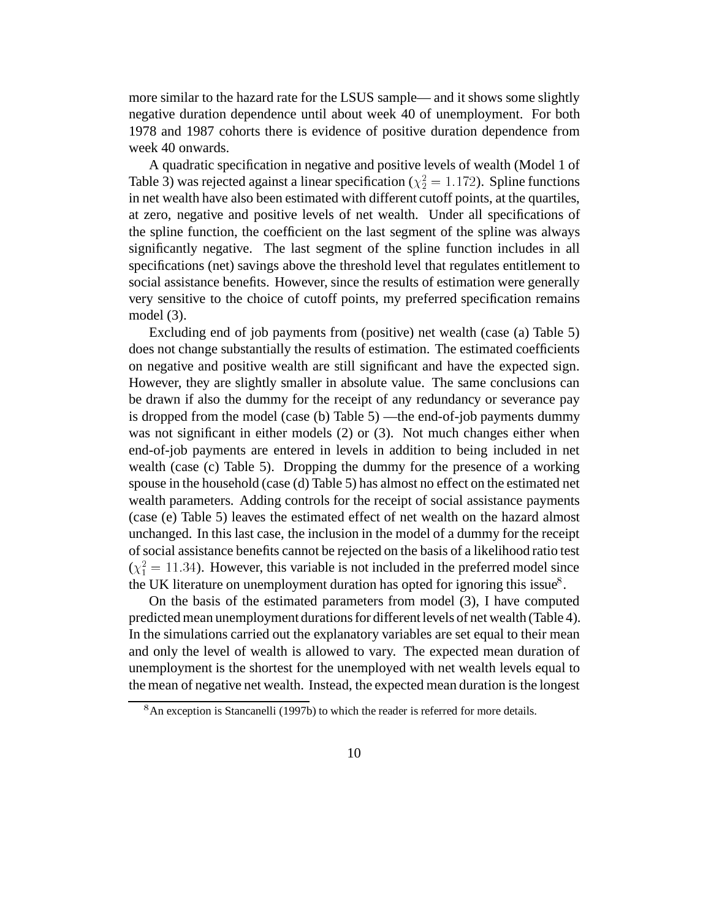more similar to the hazard rate for the LSUS sample— and it shows some slightly negative duration dependence until about week 40 of unemployment. For both 1978 and 1987 cohorts there is evidence of positive duration dependence from week 40 onwards.

A quadratic specification in negative and positive levels of wealth (Model 1 of Table 3) was rejected against a linear specification ( $\chi^2$  = 1.172). Spline functions in net wealth have also been estimated with different cutoff points, at the quartiles, at zero, negative and positive levels of net wealth. Under all specifications of the spline function, the coefficient on the last segment of the spline was always significantly negative. The last segment of the spline function includes in all specifications (net) savings above the threshold level that regulates entitlement to social assistance benefits. However, since the results of estimation were generally very sensitive to the choice of cutoff points, my preferred specification remains model (3).

Excluding end of job payments from (positive) net wealth (case (a) Table 5) does not change substantially the results of estimation. The estimated coefficients on negative and positive wealth are still significant and have the expected sign. However, they are slightly smaller in absolute value. The same conclusions can be drawn if also the dummy for the receipt of any redundancy or severance pay is dropped from the model (case (b) Table 5) —the end-of-job payments dummy was not significant in either models (2) or (3). Not much changes either when end-of-job payments are entered in levels in addition to being included in net wealth (case (c) Table 5). Dropping the dummy for the presence of a working spouse in the household (case (d) Table 5) has almost no effect on the estimated net wealth parameters. Adding controls for the receipt of social assistance payments (case (e) Table 5) leaves the estimated effect of net wealth on the hazard almost unchanged. In this last case, the inclusion in the model of a dummy for the receipt of social assistance benefits cannot be rejected on the basis of a likelihood ratio test  $(\chi_1^2 = 11.34)$ . However, this variable is not included in the preferred model since the UK literature on unemployment duration has opted for ignoring this issue $8$ .

On the basis of the estimated parameters from model (3), I have computed predicted mean unemployment durations for different levels of net wealth (Table 4). In the simulations carried out the explanatory variables are set equal to their mean and only the level of wealth is allowed to vary. The expected mean duration of unemployment is the shortest for the unemployed with net wealth levels equal to the mean of negative net wealth. Instead, the expected mean duration is the longest

<sup>&</sup>lt;sup>8</sup>An exception is Stancanelli (1997b) to which the reader is referred for more details.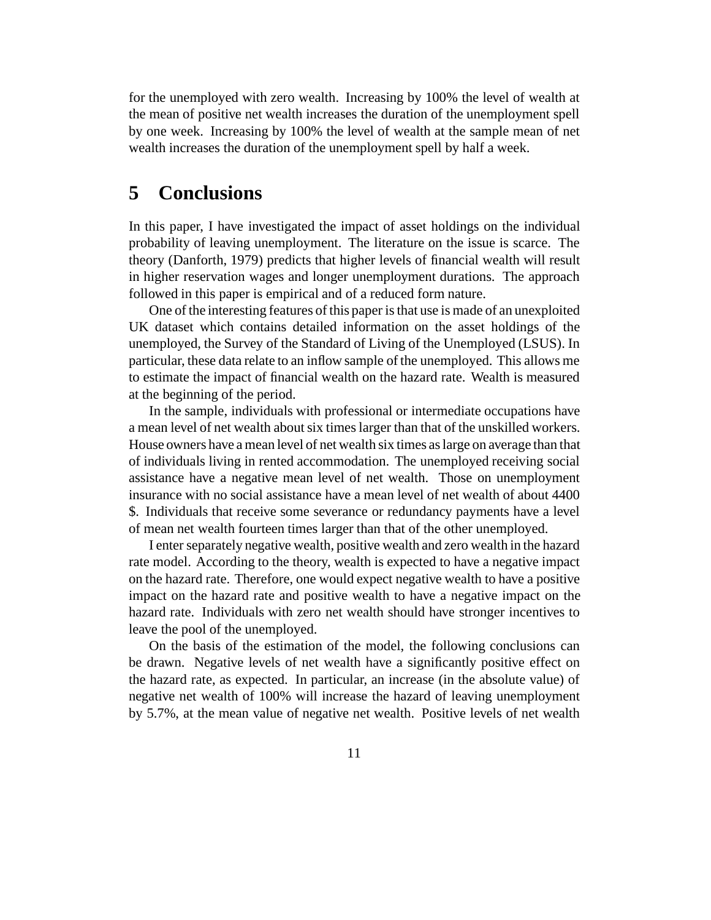for the unemployed with zero wealth. Increasing by 100% the level of wealth at the mean of positive net wealth increases the duration of the unemployment spell by one week. Increasing by 100% the level of wealth at the sample mean of net wealth increases the duration of the unemployment spell by half a week.

# **5 Conclusions**

In this paper, I have investigated the impact of asset holdings on the individual probability of leaving unemployment. The literature on the issue is scarce. The theory (Danforth, 1979) predicts that higher levels of financial wealth will result in higher reservation wages and longer unemployment durations. The approach followed in this paper is empirical and of a reduced form nature.

One of the interesting features of this paper is that use is made of an unexploited UK dataset which contains detailed information on the asset holdings of the unemployed, the Survey of the Standard of Living of the Unemployed (LSUS). In particular, these data relate to an inflow sample of the unemployed. This allows me to estimate the impact of financial wealth on the hazard rate. Wealth is measured at the beginning of the period.

In the sample, individuals with professional or intermediate occupations have a mean level of net wealth about six times larger than that of the unskilled workers. House owners have a mean level of net wealth six times as large on average than that of individuals living in rented accommodation. The unemployed receiving social assistance have a negative mean level of net wealth. Those on unemployment insurance with no social assistance have a mean level of net wealth of about 4400 \$. Individuals that receive some severance or redundancy payments have a level of mean net wealth fourteen times larger than that of the other unemployed.

I enter separately negative wealth, positive wealth and zero wealth in the hazard rate model. According to the theory, wealth is expected to have a negative impact on the hazard rate. Therefore, one would expect negative wealth to have a positive impact on the hazard rate and positive wealth to have a negative impact on the hazard rate. Individuals with zero net wealth should have stronger incentives to leave the pool of the unemployed.

On the basis of the estimation of the model, the following conclusions can be drawn. Negative levels of net wealth have a significantly positive effect on the hazard rate, as expected. In particular, an increase (in the absolute value) of negative net wealth of 100% will increase the hazard of leaving unemployment by 5.7%, at the mean value of negative net wealth. Positive levels of net wealth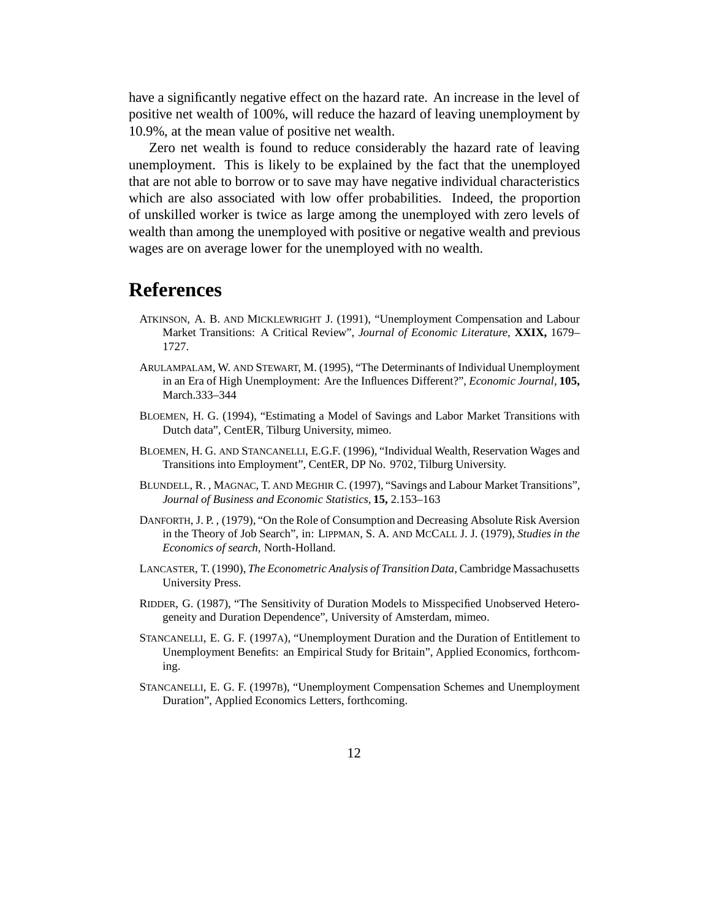have a significantly negative effect on the hazard rate. An increase in the level of positive net wealth of 100%, will reduce the hazard of leaving unemployment by 10.9%, at the mean value of positive net wealth.

Zero net wealth is found to reduce considerably the hazard rate of leaving unemployment. This is likely to be explained by the fact that the unemployed that are not able to borrow or to save may have negative individual characteristics which are also associated with low offer probabilities. Indeed, the proportion of unskilled worker is twice as large among the unemployed with zero levels of wealth than among the unemployed with positive or negative wealth and previous wages are on average lower for the unemployed with no wealth.

## **References**

- ATKINSON, A. B. AND MICKLEWRIGHT J. (1991), "Unemployment Compensation and Labour Market Transitions: A Critical Review", *Journal of Economic Literature,* **XXIX,** 1679– 1727.
- ARULAMPALAM, W. AND STEWART, M. (1995), "The Determinants of Individual Unemployment in an Era of High Unemployment: Are the Influences Different?", *Economic Journal,* **105,** March.333–344
- BLOEMEN, H. G. (1994), "Estimating a Model of Savings and Labor Market Transitions with Dutch data", CentER, Tilburg University, mimeo.
- BLOEMEN, H. G. AND STANCANELLI, E.G.F. (1996), "Individual Wealth, Reservation Wages and Transitions into Employment", CentER, DP No. 9702, Tilburg University.
- BLUNDELL, R. , MAGNAC, T. AND MEGHIR C. (1997), "Savings and Labour Market Transitions", *Journal of Business and Economic Statistics,* **15,** 2.153–163
- DANFORTH, J. P. , (1979), "On the Role of Consumption and Decreasing Absolute Risk Aversion in the Theory of Job Search", in: LIPPMAN, S. A. AND MCCALL J. J. (1979), *Studies in the Economics of search,* North-Holland.
- LANCASTER, T. (1990), *The Econometric Analysis of Transition Data,* Cambridge Massachusetts University Press.
- RIDDER, G. (1987), "The Sensitivity of Duration Models to Misspecified Unobserved Heterogeneity and Duration Dependence", University of Amsterdam, mimeo.
- STANCANELLI, E. G. F. (1997A), "Unemployment Duration and the Duration of Entitlement to Unemployment Benefits: an Empirical Study for Britain", Applied Economics, forthcoming.
- STANCANELLI, E. G. F. (1997B), "Unemployment Compensation Schemes and Unemployment Duration", Applied Economics Letters, forthcoming.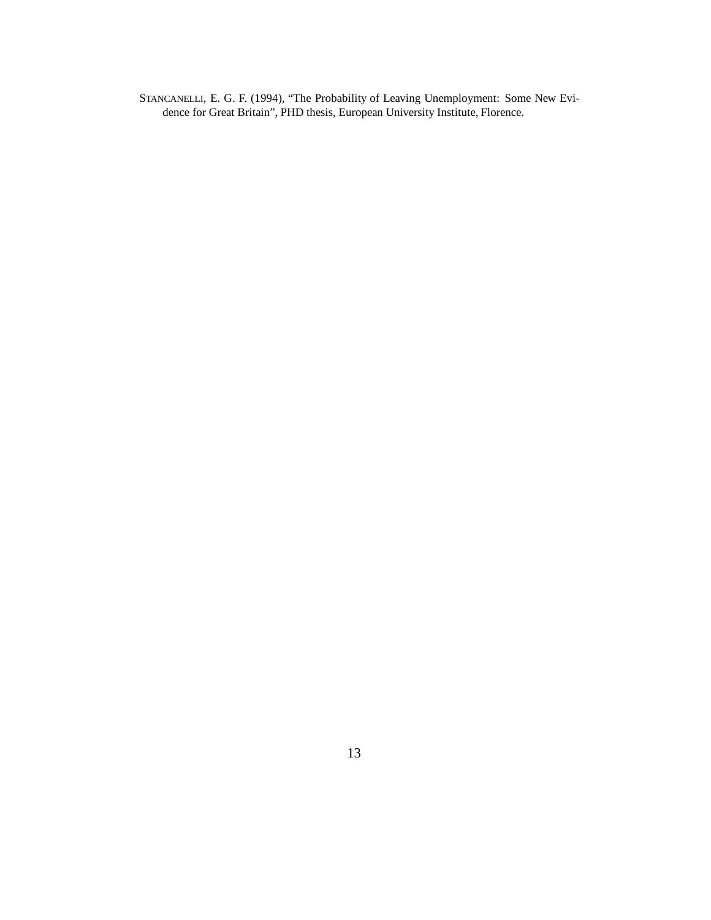STANCANELLI, E. G. F. (1994), "The Probability of Leaving Unemployment: Some New Evidence for Great Britain", PHD thesis, European University Institute, Florence.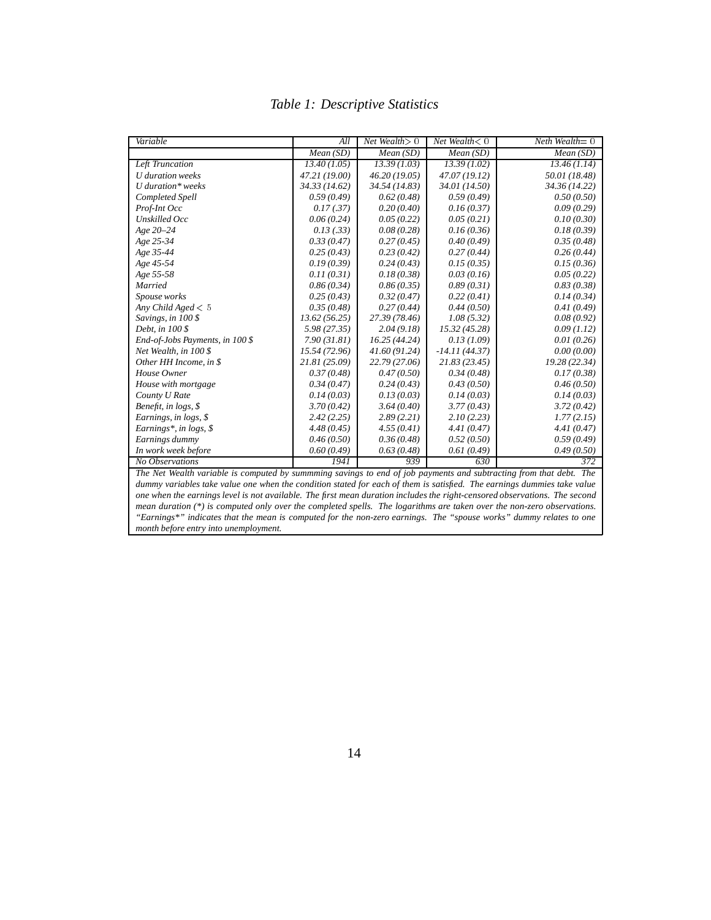| Variable                                                                                                                                                                                                                                                                                                                                                                                                                                                    | All           | Net Wealth $> 0$ | Net Wealth $< 0$ | $Neth$ Wealth $= 0$ |  |  |
|-------------------------------------------------------------------------------------------------------------------------------------------------------------------------------------------------------------------------------------------------------------------------------------------------------------------------------------------------------------------------------------------------------------------------------------------------------------|---------------|------------------|------------------|---------------------|--|--|
|                                                                                                                                                                                                                                                                                                                                                                                                                                                             | Mean(SD)      | Mean(SD)         | Mean(SD)         | Mean(SD)            |  |  |
| Left Truncation                                                                                                                                                                                                                                                                                                                                                                                                                                             | 13.40(1.05)   | 13.39(1.03)      | 13.39(1.02)      | 13.46(1.14)         |  |  |
| U duration weeks                                                                                                                                                                                                                                                                                                                                                                                                                                            | 47.21 (19.00) | 46.20(19.05)     | 47.07(19.12)     | 50.01 (18.48)       |  |  |
| $U$ duration* weeks                                                                                                                                                                                                                                                                                                                                                                                                                                         | 34.33(14.62)  | 34.54 (14.83)    | 34.01 (14.50)    | 34.36 (14.22)       |  |  |
| Completed Spell                                                                                                                                                                                                                                                                                                                                                                                                                                             | 0.59(0.49)    | 0.62(0.48)       | 0.59(0.49)       | 0.50(0.50)          |  |  |
| Prof-Int Occ                                                                                                                                                                                                                                                                                                                                                                                                                                                | 0.17(0.37)    | 0.20(0.40)       | 0.16(0.37)       | 0.09(0.29)          |  |  |
| Unskilled Occ                                                                                                                                                                                                                                                                                                                                                                                                                                               | 0.06(0.24)    | 0.05(0.22)       | 0.05(0.21)       | 0.10(0.30)          |  |  |
| Age 20-24                                                                                                                                                                                                                                                                                                                                                                                                                                                   | 0.13(0.33)    | 0.08(0.28)       | 0.16(0.36)       | 0.18(0.39)          |  |  |
| Age 25-34                                                                                                                                                                                                                                                                                                                                                                                                                                                   | 0.33(0.47)    | 0.27(0.45)       | 0.40(0.49)       | 0.35(0.48)          |  |  |
| Age 35-44                                                                                                                                                                                                                                                                                                                                                                                                                                                   | 0.25(0.43)    | 0.23(0.42)       | 0.27(0.44)       | 0.26(0.44)          |  |  |
| Age 45-54                                                                                                                                                                                                                                                                                                                                                                                                                                                   | 0.19(0.39)    | 0.24(0.43)       | 0.15(0.35)       | 0.15(0.36)          |  |  |
| Age 55-58                                                                                                                                                                                                                                                                                                                                                                                                                                                   | 0.11(0.31)    | 0.18(0.38)       | 0.03(0.16)       | 0.05(0.22)          |  |  |
| Married                                                                                                                                                                                                                                                                                                                                                                                                                                                     | 0.86(0.34)    | 0.86(0.35)       | 0.89(0.31)       | 0.83(0.38)          |  |  |
| Spouse works                                                                                                                                                                                                                                                                                                                                                                                                                                                | 0.25(0.43)    | 0.32(0.47)       | 0.22(0.41)       | 0.14(0.34)          |  |  |
| Any Child Aged $< 5$                                                                                                                                                                                                                                                                                                                                                                                                                                        | 0.35(0.48)    | 0.27(0.44)       | 0.44(0.50)       | 0.41(0.49)          |  |  |
| Savings, in 100 \$                                                                                                                                                                                                                                                                                                                                                                                                                                          | 13.62(56.25)  | 27.39 (78.46)    | 1.08(5.32)       | 0.08(0.92)          |  |  |
| Debt, in 100 \$                                                                                                                                                                                                                                                                                                                                                                                                                                             | 5.98(27.35)   | 2.04(9.18)       | 15.32(45.28)     | 0.09(1.12)          |  |  |
| End-of-Jobs Payments, in 100 \$                                                                                                                                                                                                                                                                                                                                                                                                                             | 7.90(31.81)   | 16.25(44.24)     | 0.13(1.09)       | 0.01(0.26)          |  |  |
| Net Wealth, in 100 \$                                                                                                                                                                                                                                                                                                                                                                                                                                       | 15.54(72.96)  | 41.60(91.24)     | $-14.11(44.37)$  | 0.00(0.00)          |  |  |
| Other HH Income, in \$                                                                                                                                                                                                                                                                                                                                                                                                                                      | 21.81(25.09)  | 22.79 (27.06)    | 21.83(23.45)     | 19.28 (22.34)       |  |  |
| House Owner                                                                                                                                                                                                                                                                                                                                                                                                                                                 | 0.37(0.48)    | 0.47(0.50)       | 0.34(0.48)       | 0.17(0.38)          |  |  |
| House with mortgage                                                                                                                                                                                                                                                                                                                                                                                                                                         | 0.34(0.47)    | 0.24(0.43)       | 0.43(0.50)       | 0.46(0.50)          |  |  |
| County U Rate                                                                                                                                                                                                                                                                                                                                                                                                                                               | 0.14(0.03)    | 0.13(0.03)       | 0.14(0.03)       | 0.14(0.03)          |  |  |
| Benefit, in logs, \$                                                                                                                                                                                                                                                                                                                                                                                                                                        | 3.70(0.42)    | 3.64(0.40)       | 3.77(0.43)       | 3.72(0.42)          |  |  |
| Earnings, in logs, \$                                                                                                                                                                                                                                                                                                                                                                                                                                       | 2.42(2.25)    | 2.89(2.21)       | 2.10(2.23)       | 1.77(2.15)          |  |  |
| Earnings*, in logs, $$$                                                                                                                                                                                                                                                                                                                                                                                                                                     | 4.48(0.45)    | 4.55(0.41)       | 4.41(0.47)       | 4.41(0.47)          |  |  |
| Earnings dummy                                                                                                                                                                                                                                                                                                                                                                                                                                              | 0.46(0.50)    | 0.36(0.48)       | 0.52(0.50)       | 0.59(0.49)          |  |  |
| In work week before                                                                                                                                                                                                                                                                                                                                                                                                                                         | 0.60(0.49)    | 0.63(0.48)       | 0.61(0.49)       | 0.49(0.50)          |  |  |
| No Observations                                                                                                                                                                                                                                                                                                                                                                                                                                             | 1941          | 939              | 630              | 372                 |  |  |
| The Net Wealth variable is computed by summming savings to end of job payments and subtracting from that debt. The                                                                                                                                                                                                                                                                                                                                          |               |                  |                  |                     |  |  |
| $\mathcal{L} \mathcal{L} \mathcal{L} \mathcal{L} \mathcal{L} \mathcal{L} \mathcal{L} \mathcal{L} \mathcal{L} \mathcal{L} \mathcal{L} \mathcal{L} \mathcal{L} \mathcal{L} \mathcal{L} \mathcal{L} \mathcal{L} \mathcal{L} \mathcal{L} \mathcal{L} \mathcal{L} \mathcal{L} \mathcal{L} \mathcal{L} \mathcal{L} \mathcal{L} \mathcal{L} \mathcal{L} \mathcal{L} \mathcal{L} \mathcal{L} \mathcal{L} \mathcal{L} \mathcal{L} \mathcal{L} \mathcal{L} \mathcal{$ |               |                  |                  |                     |  |  |

#### *Table 1: Descriptive Statistics*

*dummy variables take value one when the condition stated for each of them is satisfied. The earnings dummies take value one when the earnings level is not available. The first mean duration includes the right-censored observations. The second mean duration (\*) is computed only over the completed spells. The logarithms are taken over the non-zero observations. "Earnings\*" indicates that the mean is computed for the non-zero earnings. The "spouse works" dummy relates to one month before entry into unemployment.*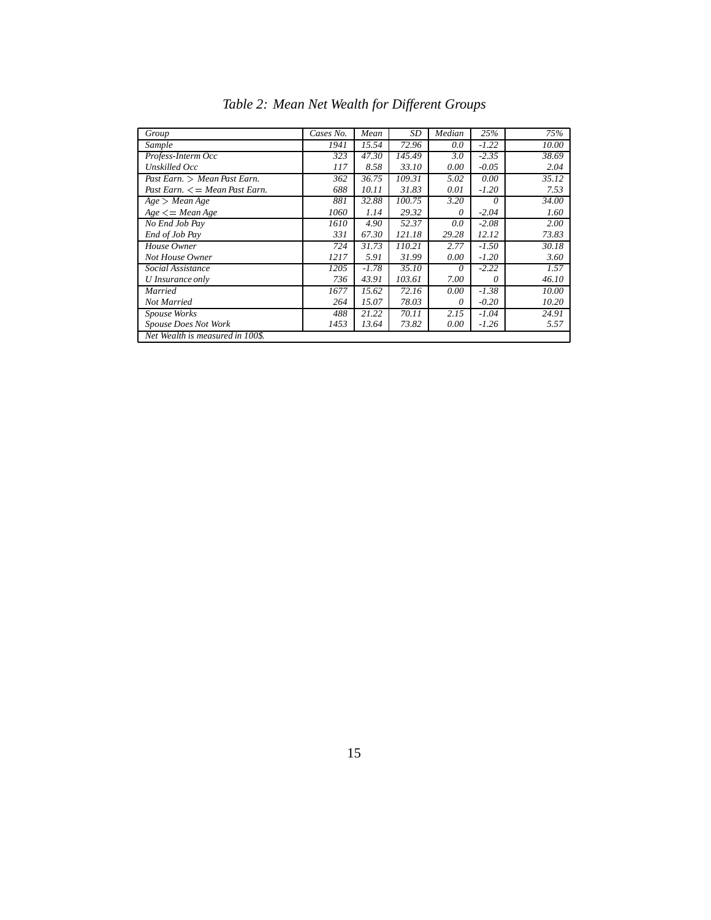| Group                             | Cases No. | Mean    | SD     | Median   | 25%      | 75%   |
|-----------------------------------|-----------|---------|--------|----------|----------|-------|
| Sample                            | 1941      | 15.54   | 72.96  | 0.0      | $-1.22$  | 10.00 |
| Profess-Interm Occ                | 323       | 47.30   | 145.49 | 3.0      | $-2.35$  | 38.69 |
| Unskilled Occ                     | 117       | 8.58    | 33.10  | 0.00     | $-0.05$  | 2.04  |
| Past Earn. > Mean Past Earn.      | 362       | 36.75   | 109.31 | 5.02     | 0.00     | 35.12 |
| Past Earn. $\leq$ Mean Past Earn. | 688       | 10.11   | 31.83  | 0.01     | $-1.20$  | 7.53  |
| Age > Mean Age                    | 881       | 32.88   | 100.75 | 3.20     | $\theta$ | 34.00 |
| $Age \leq = Mean Age$             | 1060      | 1.14    | 29.32  | 0        | $-2.04$  | 1.60  |
| No End Job Pay                    | 1610      | 4.90    | 52.37  | 0.0      | $-2.08$  | 2.00  |
| End of Job Pay                    | 331       | 67.30   | 121.18 | 29.28    | 12.12    | 73.83 |
| House Owner                       | 724       | 31.73   | 110.21 | 2.77     | $-1.50$  | 30.18 |
| Not House Owner                   | 1217      | 5.91    | 31.99  | 0.00     | $-1.20$  | 3.60  |
| Social Assistance                 | 1205      | $-1.78$ | 35.10  | $\theta$ | $-2.22$  | 1.57  |
| U Insurance only                  | 736       | 43.91   | 103.61 | 7.00     | 0        | 46.10 |
| Married                           | 1677      | 15.62   | 72.16  | 0.00     | $-1.38$  | 10.00 |
| Not Married                       | 264       | 15.07   | 78.03  | 0        | $-0.20$  | 10.20 |
| Spouse Works                      | 488       | 21.22   | 70.11  | 2.15     | $-1.04$  | 24.91 |
| <b>Spouse Does Not Work</b>       | 1453      | 13.64   | 73.82  | 0.00     | $-1.26$  | 5.57  |
| Net Wealth is measured in 100\$.  |           |         |        |          |          |       |

*Table 2: Mean Net Wealth for Different Groups*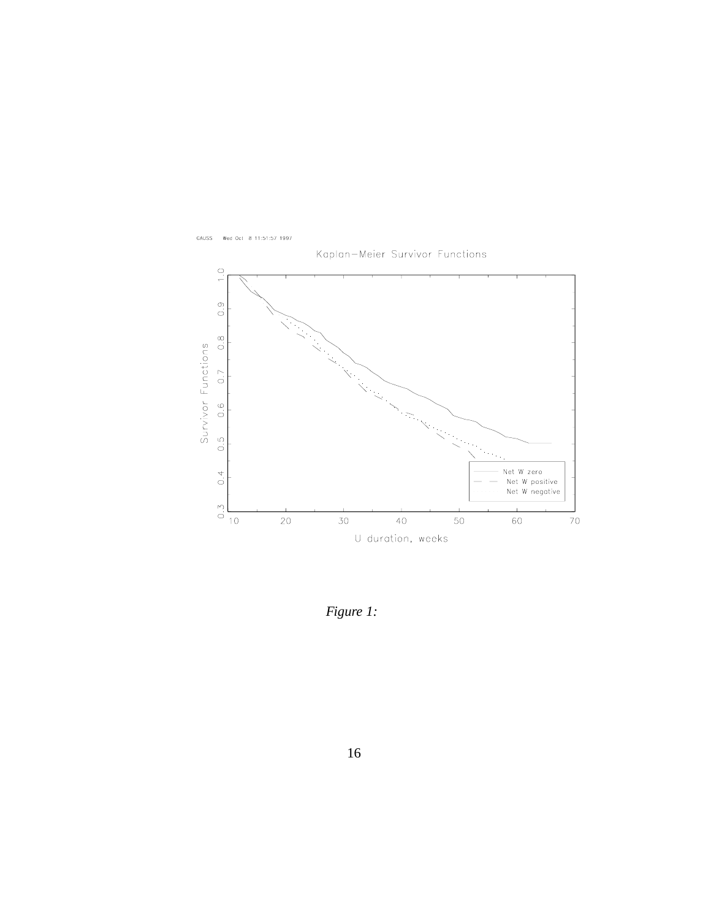



*Figure 1:*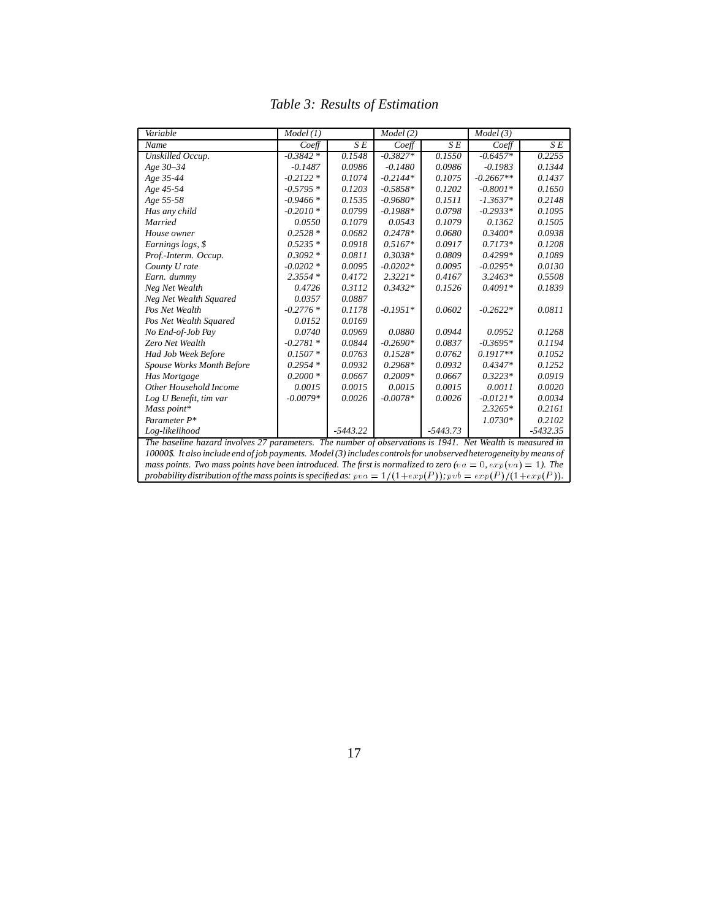| Variable                                                                                                            | Model(1)   |            | Model(2)   |            | Model(3)    |            |
|---------------------------------------------------------------------------------------------------------------------|------------|------------|------------|------------|-------------|------------|
| Name                                                                                                                | $Co$ eff   | SE         | $Co$ eff   | SE         | $Co$ eff    | SE         |
| Unskilled Occup.                                                                                                    | $-0.3842*$ | 0.1548     | $-0.3827*$ | 0.1550     | $-0.6457*$  | 0.2255     |
| Age 30-34                                                                                                           | $-0.1487$  | 0.0986     | $-0.1480$  | 0.0986     | $-0.1983$   | 0.1344     |
| Age 35-44                                                                                                           | $-0.2122*$ | 0.1074     | $-0.2144*$ | 0.1075     | $-0.2667**$ | 0.1437     |
| Age 45-54                                                                                                           | $-0.5795*$ | 0.1203     | $-0.5858*$ | 0.1202     | $-0.8001*$  | 0.1650     |
| Age 55-58                                                                                                           | $-0.9466*$ | 0.1535     | $-0.9680*$ | 0.1511     | $-1.3637*$  | 0.2148     |
| Has any child                                                                                                       | $-0.2010*$ | 0.0799     | $-0.1988*$ | 0.0798     | $-0.2933*$  | 0.1095     |
| Married                                                                                                             | 0.0550     | 0.1079     | 0.0543     | 0.1079     | 0.1362      | 0.1505     |
| House owner                                                                                                         | $0.2528*$  | 0.0682     | $0.2478*$  | 0.0680     | $0.3400*$   | 0.0938     |
| Earnings logs, \$                                                                                                   | $0.5235*$  | 0.0918     | $0.5167*$  | 0.0917     | $0.7173*$   | 0.1208     |
| Prof.-Interm. Occup.                                                                                                | $0.3092*$  | 0.0811     | 0.3038*    | 0.0809     | $0.4299*$   | 0.1089     |
| County U rate                                                                                                       | $-0.0202*$ | 0.0095     | $-0.0202*$ | 0.0095     | $-0.0295*$  | 0.0130     |
| Earn. dummy                                                                                                         | $2.3554*$  | 0.4172     | $2.3221*$  | 0.4167     | $3.2463*$   | 0.5508     |
| Neg Net Wealth                                                                                                      | 0.4726     | 0.3112     | $0.3432*$  | 0.1526     | $0.4091*$   | 0.1839     |
| Neg Net Wealth Squared                                                                                              | 0.0357     | 0.0887     |            |            |             |            |
| Pos Net Wealth                                                                                                      | $-0.2776*$ | 0.1178     | $-0.1951*$ | 0.0602     | $-0.2622*$  | 0.0811     |
| Pos Net Wealth Squared                                                                                              | 0.0152     | 0.0169     |            |            |             |            |
| No End-of-Job Pay                                                                                                   | 0.0740     | 0.0969     | 0.0880     | 0.0944     | 0.0952      | 0.1268     |
| Zero Net Wealth                                                                                                     | $-0.2781*$ | 0.0844     | $-0.2690*$ | 0.0837     | $-0.3695*$  | 0.1194     |
| Had Job Week Before                                                                                                 | $0.1507*$  | 0.0763     | $0.1528*$  | 0.0762     | $0.1917**$  | 0.1052     |
| Spouse Works Month Before                                                                                           | $0.2954*$  | 0.0932     | $0.2968*$  | 0.0932     | $0.4347*$   | 0.1252     |
| Has Mortgage                                                                                                        | $0.2000*$  | 0.0667     | $0.2009*$  | 0.0667     | $0.3223*$   | 0.0919     |
| Other Household Income                                                                                              | 0.0015     | 0.0015     | 0.0015     | 0.0015     | 0.0011      | 0.0020     |
| Log U Benefit, tim var                                                                                              | $-0.0079*$ | 0.0026     | $-0.0078*$ | 0.0026     | $-0.0121*$  | 0.0034     |
| Mass point*                                                                                                         |            |            |            |            | $2.3265*$   | 0.2161     |
| Parameter P*                                                                                                        |            |            |            |            | $1.0730*$   | 0.2102     |
| Log-likelihood                                                                                                      |            | $-5443.22$ |            | $-5443.73$ |             | $-5432.35$ |
| The baseline hazard involves 27 parameters. The number of observations is 1941. Net Wealth is measured in           |            |            |            |            |             |            |
| 10000\$. It also include end of job payments. Model (3) includes controls for unobserved heterogeneity by means of  |            |            |            |            |             |            |
| mass points. Two mass points have been introduced. The first is normalized to zero (va = 0, $exp(va) = 1$ ). The    |            |            |            |            |             |            |
| probability distribution of the mass points is specified as: $pva = 1/(1 + exp(P))$ ; $pvb = exp(P)/(1 + exp(P))$ . |            |            |            |            |             |            |

*Table 3: Results of Estimation*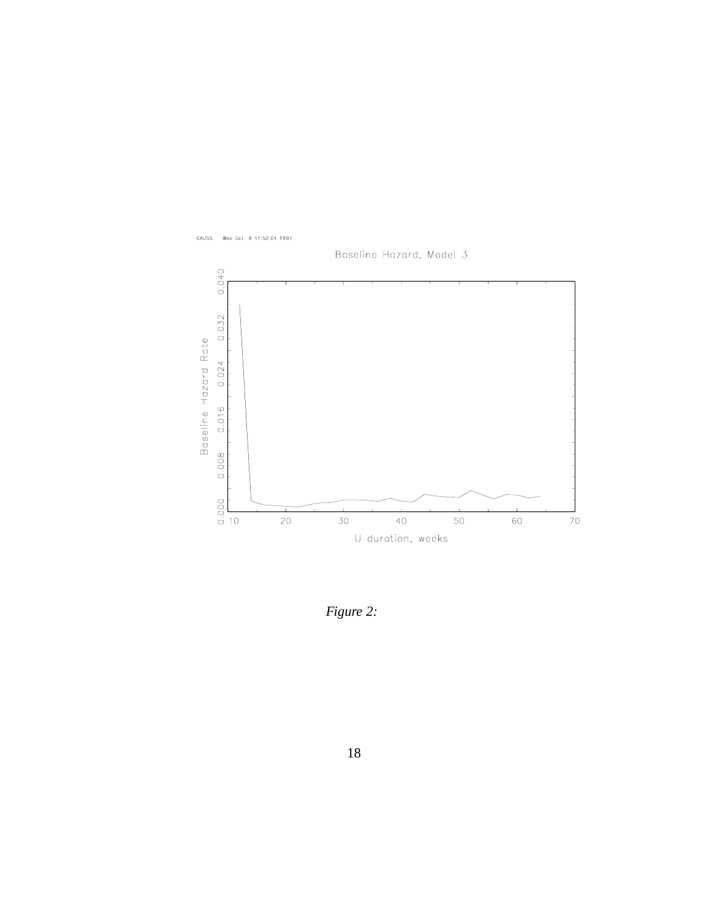

*Figure 2:*